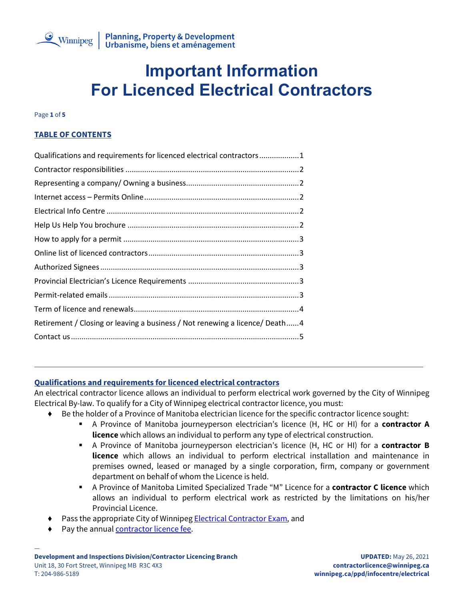

Page **1** of **5**

# **TABLE OF CONTENTS**

| Qualifications and requirements for licenced electrical contractors1        |
|-----------------------------------------------------------------------------|
|                                                                             |
|                                                                             |
|                                                                             |
|                                                                             |
|                                                                             |
|                                                                             |
|                                                                             |
|                                                                             |
|                                                                             |
|                                                                             |
|                                                                             |
| Retirement / Closing or leaving a business / Not renewing a licence/ Death4 |
|                                                                             |

# <span id="page-0-0"></span>**Qualifications and requirements for licenced electrical contractors**

An electrical contractor licence allows an individual to perform electrical work governed by the City of Winnipeg Electrical By-law. To qualify for a City of Winnipeg electrical contractor licence, you must:

- ◆ Be the holder of a Province of Manitoba electrician licence for the specific contractor licence sought:
	- A Province of Manitoba journeyperson electrician's licence (H, HC or HI) for a **contractor A licence** which allows an individual to perform any type of electrical construction.
	- A Province of Manitoba journeyperson electrician's licence (H, HC or HI) for a **contractor B licence** which allows an individual to perform electrical installation and maintenance in premises owned, leased or managed by a single corporation, firm, company or government department on behalf of whom the Licence is held.
	- A Province of Manitoba Limited Specialized Trade "M" Licence for a **contractor C licence** which allows an individual to perform electrical work as restricted by the limitations on his/her Provincial Licence.
- Pass the appropriate City of Winnipeg **Electrical Contractor Exam**, and
- Pay the annual **contractor licence fee.**

—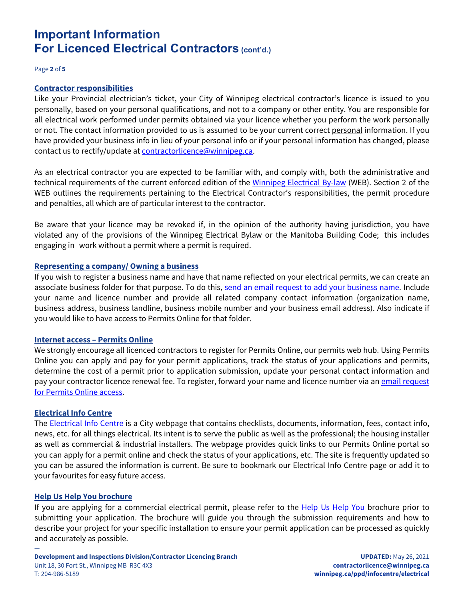Page **2** of **5**

#### <span id="page-1-0"></span>**Contractor responsibilities**

Like your Provincial electrician's ticket, your City of Winnipeg electrical contractor's licence is issued to you personally, based on your personal qualifications, and not to a company or other entity. You are responsible for all electrical work performed under permits obtained via your licence whether you perform the work personally or not. The contact information provided to us is assumed to be your current correct personal information. If you have provided your business info in lieu of your personal info or if your personal information has changed, please contact us to rectify/update a[t contractorlicence@winnipeg.ca.](mailto:contractorlicence@winnipeg.ca?subject=Modify%20my%20contact%20information)

As an electrical contractor you are expected to be familiar with, and comply with, both the administrative and technical requirements of the current enforced edition of the [Winnipeg Electrical By-law](https://www.winnipeg.ca/ppd/Documents/InfoCentre/Electrical/Winnipeg-Electrical-By-law-86-2018.pdf) (WEB). Section 2 of the WEB outlines the requirements pertaining to the Electrical Contractor's responsibilities, the permit procedure and penalties, all which are of particular interest to the contractor.

Be aware that your licence may be revoked if, in the opinion of the authority having jurisdiction, you have violated any of the provisions of the Winnipeg Electrical Bylaw or the Manitoba Building Code; this includes engaging in work without a permit where a permit is required.

### <span id="page-1-1"></span>**Representing a company/ Owning a business**

If you wish to register a business name and have that name reflected on your electrical permits, we can create an associate business folder for that purpose. To do this, [send an email request to add your business name.](mailto:contractorlicence@winnipeg.ca?subject=Please%20create%20an%20associate%20folder%20for%20me) Include your name and licence number and provide all related company contact information (organization name, business address, business landline, business mobile number and your business email address). Also indicate if you would like to have access to Permits Online for that folder.

#### <span id="page-1-2"></span>**Internet access – Permits Online**

We strongly encourage all licenced contractors to register for Permits Online, our permits web hub. Using Permits Online you can apply and pay for your permit applications, track the status of your applications and permits, determine the cost of a permit prior to application submission, update your personal contact information and pay your contractor licence renewal fee. To register, forward your name and licence number via an email request [for Permits Online access.](mailto:contractorlicence@winnipeg.ca?subject=Please%20register%20me%20for%20Permits%20Online)

### <span id="page-1-3"></span>**Electrical Info Centre**

The **Electrical [Info Centre](https://www.winnipeg.ca/ppd/InfoCentre/Electrical/default.stm)** is a City webpage that contains checklists, documents, information, fees, contact info, news, etc. for all things electrical. Its intent is to serve the public as well as the professional; the housing installer as well as commercial & industrial installers. The webpage provides quick links to our Permits Online portal so you can apply for a permit online and check the status of your applications, etc. The site is frequently updated so you can be assured the information is current. Be sure to bookmark our Electrical Info Centre page or add it to your favourites for easy future access.

#### <span id="page-1-4"></span>**Help Us Help You brochure**

—

If you are applying for a commercial electrical permit, please refer to the [Help Us Help You](https://www.winnipeg.ca/ppd/Documents/InfoCentre/Electrical/HelpUsHelpYou.pdf) brochure prior to submitting your application. The brochure will guide you through the submission requirements and how to describe your project for your specific installation to ensure your permit application can be processed as quickly and accurately as possible.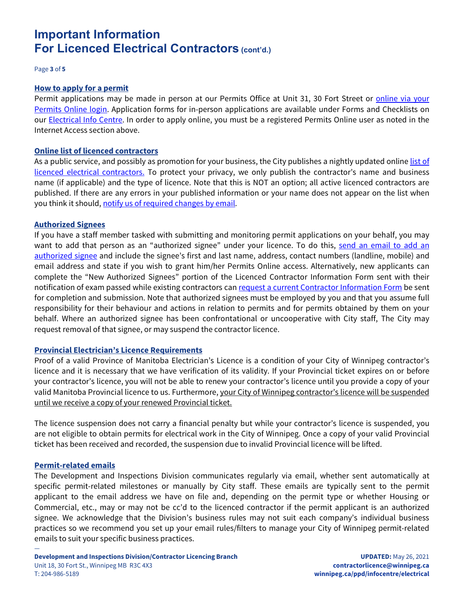Page **3** of **5**

#### <span id="page-2-0"></span>**How to apply for a permit**

Permit applications may be made in person at our Permits Office at Unit 31, 30 Fort Street or *online via your* [Permits Online login.](https://ppdportal.winnipeg.ca/Permits/menu/logon_a.jsp) Application forms for in-person applications are available under Forms and Checklists on our **Electrical [Info Centre.](https://www.winnipeg.ca/ppd/InfoCentre/Electrical/default.stm)** In order to apply online, you must be a registered Permits Online user as noted in the Internet Access section above.

#### <span id="page-2-1"></span>**Online list of licenced contractors**

As a public service, and possibly as promotion for your business, the City publishes a nightly updated online list of [licenced electrical](https://www.winnipeg.ca/ppd/permits/contractor_licenced_electrical.stm) contractors. To protect your privacy, we only publish the contractor's name and business name (if applicable) and the type of licence. Note that this is NOT an option; all active licenced contractors are published. If there are any errors in your published information or your name does not appear on the list when you think it should, [notify us of required changes by email.](mailto:contractorlicence@winnipeg.ca?subject=Correct%20my%20published%20information)

#### <span id="page-2-2"></span>**Authorized Signees**

If you have a staff member tasked with submitting and monitoring permit applications on your behalf, you may want to add that person as an "authorized signee" under your licence. To do this, [send an email to add an](mailto:contractorlicence@winnipeg.ca?subject=Add%20authorized%20signee)  [authorized signee](mailto:contractorlicence@winnipeg.ca?subject=Add%20authorized%20signee) and include the signee's first and last name, address, contact numbers (landline, mobile) and email address and state if you wish to grant him/her Permits Online access. Alternatively, new applicants can complete the "New Authorized Signees" portion of the Licenced Contractor Information Form sent with their notification of exam passed while existing contractors can [request a current Contractor Information Form](mailto:contractorlicence@winnipeg.ca?subject=Please%20send%20a%20current%20Contractor%20Information%20Form) be sent for completion and submission. Note that authorized signees must be employed by you and that you assume full responsibility for their behaviour and actions in relation to permits and for permits obtained by them on your behalf. Where an authorized signee has been confrontational or uncooperative with City staff, The City may request removal of that signee, or may suspend the contractor licence.

### <span id="page-2-3"></span>**Provincial Electrician's Licence Requirements**

Proof of a valid Province of Manitoba Electrician's Licence is a condition of your City of Winnipeg contractor's licence and it is necessary that we have verification of its validity. If your Provincial ticket expires on or before your contractor's licence, you will not be able to renew your contractor's licence until you provide a copy of your valid Manitoba Provincial licence to us. Furthermore, your City of Winnipeg contractor's licence will be suspended until we receive a copy of your renewed Provincial ticket.

The licence suspension does not carry a financial penalty but while your contractor's licence is suspended, you are not eligible to obtain permits for electrical work in the City of Winnipeg. Once a copy of your valid Provincial ticket has been received and recorded, the suspension due to invalid Provincial licence will be lifted.

#### <span id="page-2-4"></span>**Permit-related emails**

—

The Development and Inspections Division communicates regularly via email, whether sent automatically at specific permit-related milestones or manually by City staff. These emails are typically sent to the permit applicant to the email address we have on file and, depending on the permit type or whether Housing or Commercial, etc., may or may not be cc'd to the licenced contractor if the permit applicant is an authorized signee. We acknowledge that the Division's business rules may not suit each company's individual business practices so we recommend you set up your email rules/filters to manage your City of Winnipeg permit-related emails to suit your specific business practices.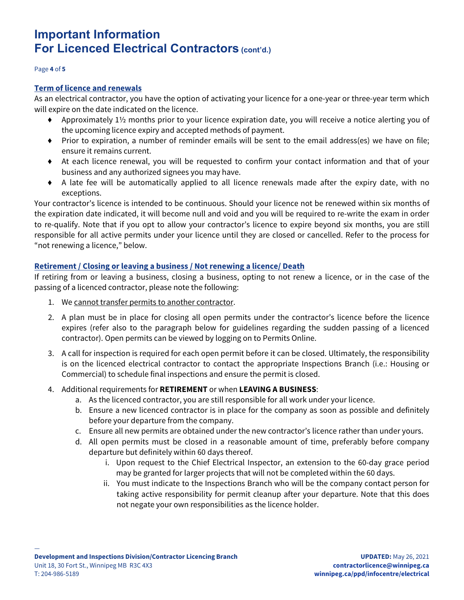#### Page **4** of **5**

#### <span id="page-3-0"></span>**Term of licence and renewals**

As an electrical contractor, you have the option of activating your licence for a one-year or three-year term which will expire on the date indicated on the licence.

- ♦ Approximately 1½ months prior to your licence expiration date, you will receive a notice alerting you of the upcoming licence expiry and accepted methods of payment.
- ♦ Prior to expiration, a number of reminder emails will be sent to the email address(es) we have on file; ensure it remains current.
- ♦ At each licence renewal, you will be requested to confirm your contact information and that of your business and any authorized signees you may have.
- ♦ A late fee will be automatically applied to all licence renewals made after the expiry date, with no exceptions.

Your contractor's licence is intended to be continuous. Should your licence not be renewed within six months of the expiration date indicated, it will become null and void and you will be required to re-write the exam in order to re-qualify. Note that if you opt to allow your contractor's licence to expire beyond six months, you are still responsible for all active permits under your licence until they are closed or cancelled. Refer to the process for "not renewing a licence," below.

# <span id="page-3-1"></span>**Retirement / Closing or leaving a business / Not renewing a licence/ Death**

If retiring from or leaving a business, closing a business, opting to not renew a licence, or in the case of the passing of a licenced contractor, please note the following:

- 1. We cannot transfer permits to another contractor.
- 2. A plan must be in place for closing all open permits under the contractor's licence before the licence expires (refer also to the paragraph below for guidelines regarding the sudden passing of a licenced contractor). Open permits can be viewed by logging on to Permits Online.
- 3. A call for inspection is required for each open permit before it can be closed. Ultimately, the responsibility is on the licenced electrical contractor to contact the appropriate Inspections Branch (i.e.: Housing or Commercial) to schedule final inspections and ensure the permit is closed.
- 4. Additional requirements for **RETIREMENT** or when **LEAVING A BUSINESS**:
	- a. As the licenced contractor, you are still responsible for all work under your licence.
	- b. Ensure a new licenced contractor is in place for the company as soon as possible and definitely before your departure from the company.
	- c. Ensure all new permits are obtained under the new contractor's licence rather than under yours.
	- d. All open permits must be closed in a reasonable amount of time, preferably before company departure but definitely within 60 days thereof.
		- i. Upon request to the Chief Electrical Inspector, an extension to the 60-day grace period may be granted for larger projects that will not be completed within the 60 days.
		- ii. You must indicate to the Inspections Branch who will be the company contact person for taking active responsibility for permit cleanup after your departure. Note that this does not negate your own responsibilities as the licence holder.